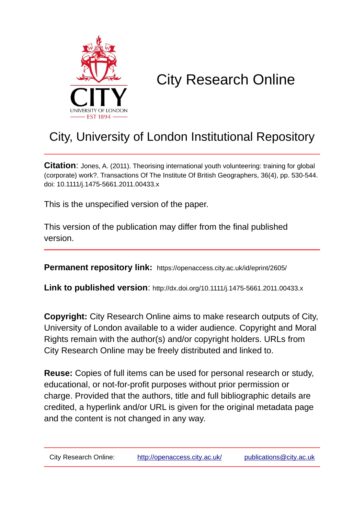

# City Research Online

## City, University of London Institutional Repository

**Citation**: Jones, A. (2011). Theorising international youth volunteering: training for global (corporate) work?. Transactions Of The Institute Of British Geographers, 36(4), pp. 530-544. doi: 10.1111/j.1475-5661.2011.00433.x

This is the unspecified version of the paper.

This version of the publication may differ from the final published version.

**Permanent repository link:** https://openaccess.city.ac.uk/id/eprint/2605/

**Link to published version**: http://dx.doi.org/10.1111/j.1475-5661.2011.00433.x

**Copyright:** City Research Online aims to make research outputs of City, University of London available to a wider audience. Copyright and Moral Rights remain with the author(s) and/or copyright holders. URLs from City Research Online may be freely distributed and linked to.

**Reuse:** Copies of full items can be used for personal research or study, educational, or not-for-profit purposes without prior permission or charge. Provided that the authors, title and full bibliographic details are credited, a hyperlink and/or URL is given for the original metadata page and the content is not changed in any way.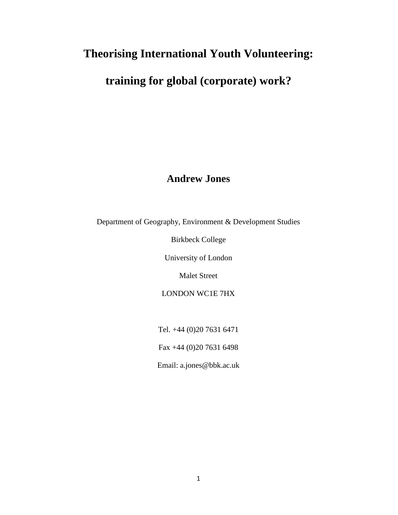## **Theorising International Youth Volunteering:**

## **training for global (corporate) work?**

### **Andrew Jones**

Department of Geography, Environment & Development Studies

Birkbeck College

University of London

Malet Street

LONDON WC1E 7HX

Tel. +44 (0)20 7631 6471

Fax +44 (0)20 7631 6498

Email: a.jones@bbk.ac.uk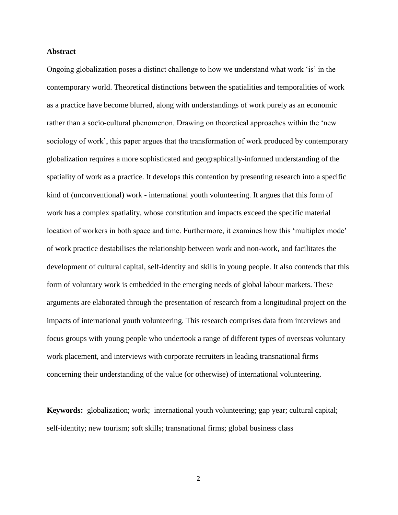#### **Abstract**

Ongoing globalization poses a distinct challenge to how we understand what work 'is' in the contemporary world. Theoretical distinctions between the spatialities and temporalities of work as a practice have become blurred, along with understandings of work purely as an economic rather than a socio-cultural phenomenon. Drawing on theoretical approaches within the 'new sociology of work', this paper argues that the transformation of work produced by contemporary globalization requires a more sophisticated and geographically-informed understanding of the spatiality of work as a practice. It develops this contention by presenting research into a specific kind of (unconventional) work - international youth volunteering. It argues that this form of work has a complex spatiality, whose constitution and impacts exceed the specific material location of workers in both space and time. Furthermore, it examines how this 'multiplex mode' of work practice destabilises the relationship between work and non-work, and facilitates the development of cultural capital, self-identity and skills in young people. It also contends that this form of voluntary work is embedded in the emerging needs of global labour markets. These arguments are elaborated through the presentation of research from a longitudinal project on the impacts of international youth volunteering. This research comprises data from interviews and focus groups with young people who undertook a range of different types of overseas voluntary work placement, and interviews with corporate recruiters in leading transnational firms concerning their understanding of the value (or otherwise) of international volunteering.

**Keywords:** globalization; work; international youth volunteering; gap year; cultural capital; self-identity; new tourism; soft skills; transnational firms; global business class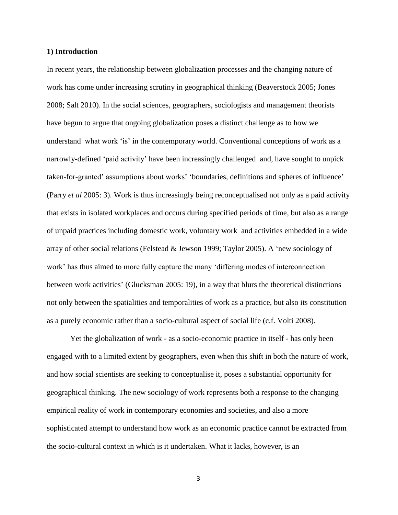#### **1) Introduction**

In recent years, the relationship between globalization processes and the changing nature of work has come under increasing scrutiny in geographical thinking (Beaverstock 2005; Jones 2008; Salt 2010). In the social sciences, geographers, sociologists and management theorists have begun to argue that ongoing globalization poses a distinct challenge as to how we understand what work 'is' in the contemporary world. Conventional conceptions of work as a narrowly-defined 'paid activity' have been increasingly challenged and, have sought to unpick taken-for-granted' assumptions about works' 'boundaries, definitions and spheres of influence' (Parry *et al* 2005: 3). Work is thus increasingly being reconceptualised not only as a paid activity that exists in isolated workplaces and occurs during specified periods of time, but also as a range of unpaid practices including domestic work, voluntary work and activities embedded in a wide array of other social relations (Felstead & Jewson 1999; Taylor 2005). A 'new sociology of work' has thus aimed to more fully capture the many 'differing modes of interconnection between work activities' (Glucksman 2005: 19), in a way that blurs the theoretical distinctions not only between the spatialities and temporalities of work as a practice, but also its constitution as a purely economic rather than a socio-cultural aspect of social life (c.f. Volti 2008).

Yet the globalization of work - as a socio-economic practice in itself - has only been engaged with to a limited extent by geographers, even when this shift in both the nature of work, and how social scientists are seeking to conceptualise it, poses a substantial opportunity for geographical thinking. The new sociology of work represents both a response to the changing empirical reality of work in contemporary economies and societies, and also a more sophisticated attempt to understand how work as an economic practice cannot be extracted from the socio-cultural context in which is it undertaken. What it lacks, however, is an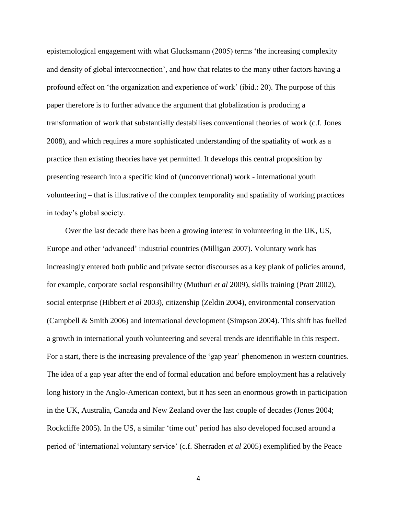epistemological engagement with what Glucksmann (2005) terms 'the increasing complexity and density of global interconnection', and how that relates to the many other factors having a profound effect on 'the organization and experience of work' (ibid.: 20). The purpose of this paper therefore is to further advance the argument that globalization is producing a transformation of work that substantially destabilises conventional theories of work (c.f. Jones 2008), and which requires a more sophisticated understanding of the spatiality of work as a practice than existing theories have yet permitted. It develops this central proposition by presenting research into a specific kind of (unconventional) work - international youth volunteering – that is illustrative of the complex temporality and spatiality of working practices in today's global society.

Over the last decade there has been a growing interest in volunteering in the UK, US, Europe and other 'advanced' industrial countries (Milligan 2007). Voluntary work has increasingly entered both public and private sector discourses as a key plank of policies around, for example, corporate social responsibility (Muthuri *et al* 2009), skills training (Pratt 2002), social enterprise (Hibbert *et al* 2003), citizenship (Zeldin 2004), environmental conservation (Campbell & Smith 2006) and international development (Simpson 2004). This shift has fuelled a growth in international youth volunteering and several trends are identifiable in this respect. For a start, there is the increasing prevalence of the 'gap year' phenomenon in western countries. The idea of a gap year after the end of formal education and before employment has a relatively long history in the Anglo-American context, but it has seen an enormous growth in participation in the UK, Australia, Canada and New Zealand over the last couple of decades (Jones 2004; Rockcliffe 2005). In the US, a similar 'time out' period has also developed focused around a period of 'international voluntary service' (c.f. Sherraden *et al* 2005) exemplified by the Peace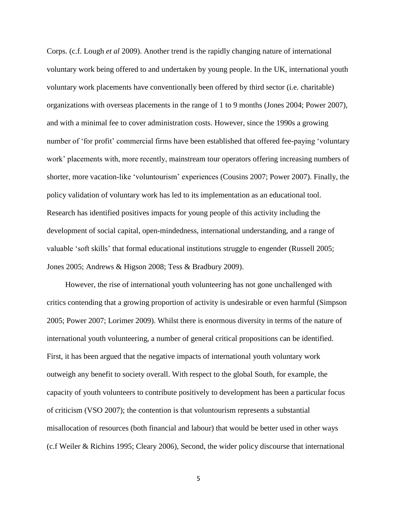Corps. (c.f. Lough *et al* 2009). Another trend is the rapidly changing nature of international voluntary work being offered to and undertaken by young people. In the UK, international youth voluntary work placements have conventionally been offered by third sector (i.e. charitable) organizations with overseas placements in the range of 1 to 9 months (Jones 2004; Power 2007), and with a minimal fee to cover administration costs. However, since the 1990s a growing number of 'for profit' commercial firms have been established that offered fee-paying 'voluntary work' placements with, more recently, mainstream tour operators offering increasing numbers of shorter, more vacation-like 'voluntourism' experiences (Cousins 2007; Power 2007). Finally, the policy validation of voluntary work has led to its implementation as an educational tool. Research has identified positives impacts for young people of this activity including the development of social capital, open-mindedness, international understanding, and a range of valuable 'soft skills' that formal educational institutions struggle to engender (Russell 2005; Jones 2005; Andrews & Higson 2008; Tess & Bradbury 2009).

However, the rise of international youth volunteering has not gone unchallenged with critics contending that a growing proportion of activity is undesirable or even harmful (Simpson 2005; Power 2007; Lorimer 2009). Whilst there is enormous diversity in terms of the nature of international youth volunteering, a number of general critical propositions can be identified. First, it has been argued that the negative impacts of international youth voluntary work outweigh any benefit to society overall. With respect to the global South, for example, the capacity of youth volunteers to contribute positively to development has been a particular focus of criticism (VSO 2007); the contention is that voluntourism represents a substantial misallocation of resources (both financial and labour) that would be better used in other ways (c.f Weiler & Richins 1995; Cleary 2006), Second, the wider policy discourse that international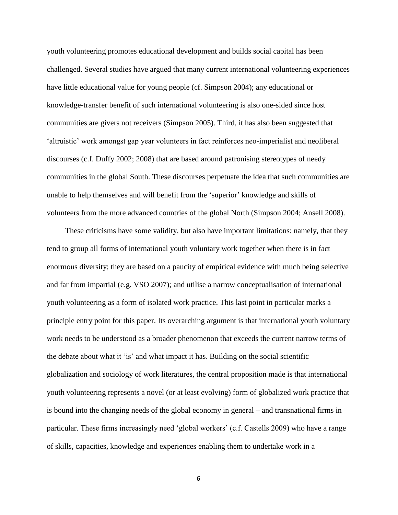youth volunteering promotes educational development and builds social capital has been challenged. Several studies have argued that many current international volunteering experiences have little educational value for young people (cf. Simpson 2004); any educational or knowledge-transfer benefit of such international volunteering is also one-sided since host communities are givers not receivers (Simpson 2005). Third, it has also been suggested that 'altruistic' work amongst gap year volunteers in fact reinforces neo-imperialist and neoliberal discourses (c.f. Duffy 2002; 2008) that are based around patronising stereotypes of needy communities in the global South. These discourses perpetuate the idea that such communities are unable to help themselves and will benefit from the 'superior' knowledge and skills of volunteers from the more advanced countries of the global North (Simpson 2004; Ansell 2008).

These criticisms have some validity, but also have important limitations: namely, that they tend to group all forms of international youth voluntary work together when there is in fact enormous diversity; they are based on a paucity of empirical evidence with much being selective and far from impartial (e.g. VSO 2007); and utilise a narrow conceptualisation of international youth volunteering as a form of isolated work practice. This last point in particular marks a principle entry point for this paper. Its overarching argument is that international youth voluntary work needs to be understood as a broader phenomenon that exceeds the current narrow terms of the debate about what it 'is' and what impact it has. Building on the social scientific globalization and sociology of work literatures, the central proposition made is that international youth volunteering represents a novel (or at least evolving) form of globalized work practice that is bound into the changing needs of the global economy in general – and transnational firms in particular. These firms increasingly need 'global workers' (c.f. Castells 2009) who have a range of skills, capacities, knowledge and experiences enabling them to undertake work in a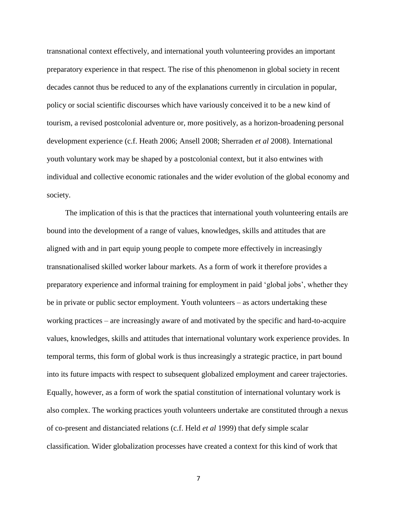transnational context effectively, and international youth volunteering provides an important preparatory experience in that respect. The rise of this phenomenon in global society in recent decades cannot thus be reduced to any of the explanations currently in circulation in popular, policy or social scientific discourses which have variously conceived it to be a new kind of tourism, a revised postcolonial adventure or, more positively, as a horizon-broadening personal development experience (c.f. Heath 2006; Ansell 2008; Sherraden *et al* 2008). International youth voluntary work may be shaped by a postcolonial context, but it also entwines with individual and collective economic rationales and the wider evolution of the global economy and society.

The implication of this is that the practices that international youth volunteering entails are bound into the development of a range of values, knowledges, skills and attitudes that are aligned with and in part equip young people to compete more effectively in increasingly transnationalised skilled worker labour markets. As a form of work it therefore provides a preparatory experience and informal training for employment in paid 'global jobs', whether they be in private or public sector employment. Youth volunteers – as actors undertaking these working practices – are increasingly aware of and motivated by the specific and hard-to-acquire values, knowledges, skills and attitudes that international voluntary work experience provides. In temporal terms, this form of global work is thus increasingly a strategic practice, in part bound into its future impacts with respect to subsequent globalized employment and career trajectories. Equally, however, as a form of work the spatial constitution of international voluntary work is also complex. The working practices youth volunteers undertake are constituted through a nexus of co-present and distanciated relations (c.f. Held *et al* 1999) that defy simple scalar classification. Wider globalization processes have created a context for this kind of work that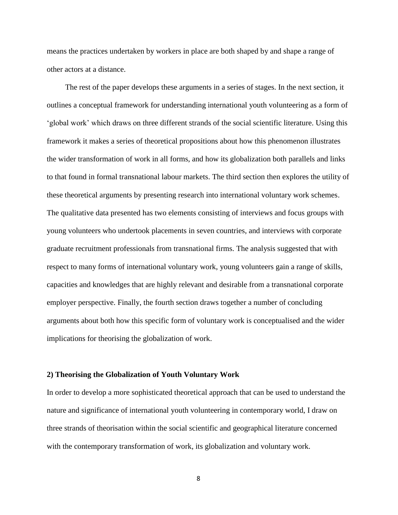means the practices undertaken by workers in place are both shaped by and shape a range of other actors at a distance.

The rest of the paper develops these arguments in a series of stages. In the next section, it outlines a conceptual framework for understanding international youth volunteering as a form of 'global work' which draws on three different strands of the social scientific literature. Using this framework it makes a series of theoretical propositions about how this phenomenon illustrates the wider transformation of work in all forms, and how its globalization both parallels and links to that found in formal transnational labour markets. The third section then explores the utility of these theoretical arguments by presenting research into international voluntary work schemes. The qualitative data presented has two elements consisting of interviews and focus groups with young volunteers who undertook placements in seven countries, and interviews with corporate graduate recruitment professionals from transnational firms. The analysis suggested that with respect to many forms of international voluntary work, young volunteers gain a range of skills, capacities and knowledges that are highly relevant and desirable from a transnational corporate employer perspective. Finally, the fourth section draws together a number of concluding arguments about both how this specific form of voluntary work is conceptualised and the wider implications for theorising the globalization of work.

#### **2) Theorising the Globalization of Youth Voluntary Work**

In order to develop a more sophisticated theoretical approach that can be used to understand the nature and significance of international youth volunteering in contemporary world, I draw on three strands of theorisation within the social scientific and geographical literature concerned with the contemporary transformation of work, its globalization and voluntary work.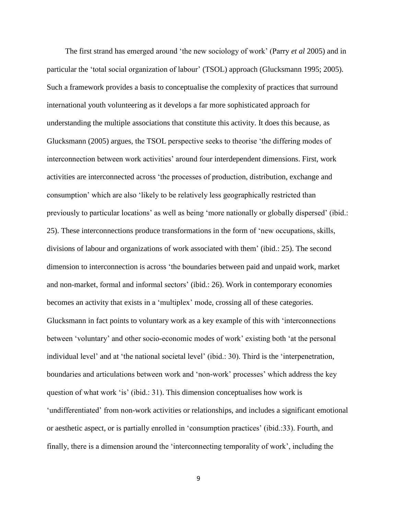The first strand has emerged around 'the new sociology of work' (Parry *et al* 2005) and in particular the 'total social organization of labour' (TSOL) approach (Glucksmann 1995; 2005). Such a framework provides a basis to conceptualise the complexity of practices that surround international youth volunteering as it develops a far more sophisticated approach for understanding the multiple associations that constitute this activity. It does this because, as Glucksmann (2005) argues, the TSOL perspective seeks to theorise 'the differing modes of interconnection between work activities' around four interdependent dimensions. First, work activities are interconnected across 'the processes of production, distribution, exchange and consumption' which are also 'likely to be relatively less geographically restricted than previously to particular locations' as well as being 'more nationally or globally dispersed' (ibid.: 25). These interconnections produce transformations in the form of 'new occupations, skills, divisions of labour and organizations of work associated with them' (ibid.: 25). The second dimension to interconnection is across 'the boundaries between paid and unpaid work, market and non-market, formal and informal sectors' (ibid.: 26). Work in contemporary economies becomes an activity that exists in a 'multiplex' mode, crossing all of these categories. Glucksmann in fact points to voluntary work as a key example of this with 'interconnections between 'voluntary' and other socio-economic modes of work' existing both 'at the personal individual level' and at 'the national societal level' (ibid.: 30). Third is the 'interpenetration, boundaries and articulations between work and 'non-work' processes' which address the key question of what work 'is' (ibid.: 31). This dimension conceptualises how work is 'undifferentiated' from non-work activities or relationships, and includes a significant emotional or aesthetic aspect, or is partially enrolled in 'consumption practices' (ibid.:33). Fourth, and finally, there is a dimension around the 'interconnecting temporality of work', including the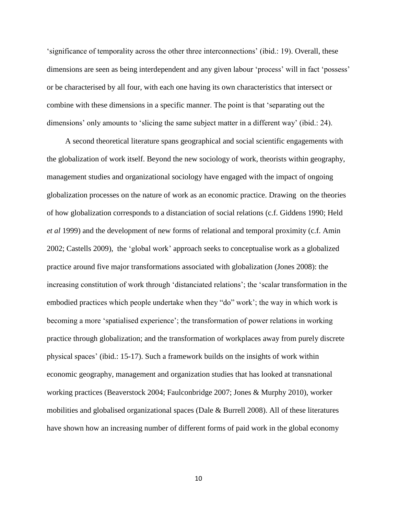'significance of temporality across the other three interconnections' (ibid.: 19). Overall, these dimensions are seen as being interdependent and any given labour 'process' will in fact 'possess' or be characterised by all four, with each one having its own characteristics that intersect or combine with these dimensions in a specific manner. The point is that 'separating out the dimensions' only amounts to 'slicing the same subject matter in a different way' (ibid.: 24).

A second theoretical literature spans geographical and social scientific engagements with the globalization of work itself. Beyond the new sociology of work, theorists within geography, management studies and organizational sociology have engaged with the impact of ongoing globalization processes on the nature of work as an economic practice. Drawing on the theories of how globalization corresponds to a distanciation of social relations (c.f. Giddens 1990; Held *et al* 1999) and the development of new forms of relational and temporal proximity (c.f. Amin 2002; Castells 2009), the 'global work' approach seeks to conceptualise work as a globalized practice around five major transformations associated with globalization (Jones 2008): the increasing constitution of work through 'distanciated relations'; the 'scalar transformation in the embodied practices which people undertake when they "do" work'; the way in which work is becoming a more 'spatialised experience'; the transformation of power relations in working practice through globalization; and the transformation of workplaces away from purely discrete physical spaces' (ibid.: 15-17). Such a framework builds on the insights of work within economic geography, management and organization studies that has looked at transnational working practices (Beaverstock 2004; Faulconbridge 2007; Jones & Murphy 2010), worker mobilities and globalised organizational spaces (Dale & Burrell 2008). All of these literatures have shown how an increasing number of different forms of paid work in the global economy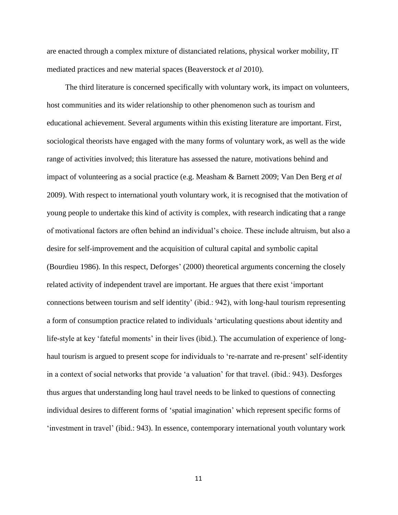are enacted through a complex mixture of distanciated relations, physical worker mobility, IT mediated practices and new material spaces (Beaverstock *et al* 2010).

The third literature is concerned specifically with voluntary work, its impact on volunteers, host communities and its wider relationship to other phenomenon such as tourism and educational achievement. Several arguments within this existing literature are important. First, sociological theorists have engaged with the many forms of voluntary work, as well as the wide range of activities involved; this literature has assessed the nature, motivations behind and impact of volunteering as a social practice (e.g. Measham & Barnett 2009; Van Den Berg *et al*  2009). With respect to international youth voluntary work, it is recognised that the motivation of young people to undertake this kind of activity is complex, with research indicating that a range of motivational factors are often behind an individual's choice. These include altruism, but also a desire for self-improvement and the acquisition of cultural capital and symbolic capital (Bourdieu 1986). In this respect, Deforges' (2000) theoretical arguments concerning the closely related activity of independent travel are important. He argues that there exist 'important connections between tourism and self identity' (ibid.: 942), with long-haul tourism representing a form of consumption practice related to individuals 'articulating questions about identity and life-style at key 'fateful moments' in their lives (ibid.). The accumulation of experience of longhaul tourism is argued to present scope for individuals to 're-narrate and re-present' self-identity in a context of social networks that provide 'a valuation' for that travel. (ibid.: 943). Desforges thus argues that understanding long haul travel needs to be linked to questions of connecting individual desires to different forms of 'spatial imagination' which represent specific forms of 'investment in travel' (ibid.: 943). In essence, contemporary international youth voluntary work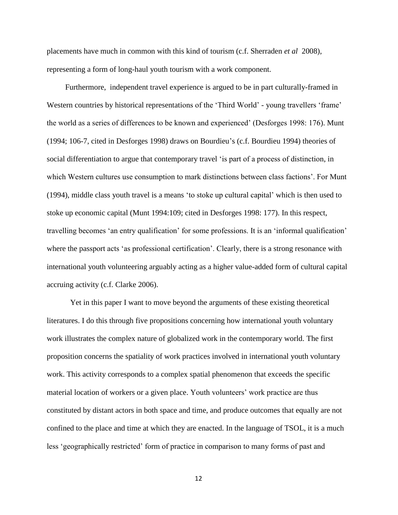placements have much in common with this kind of tourism (c.f. Sherraden *et al* 2008), representing a form of long-haul youth tourism with a work component.

Furthermore, independent travel experience is argued to be in part culturally-framed in Western countries by historical representations of the 'Third World' - young travellers 'frame' the world as a series of differences to be known and experienced' (Desforges 1998: 176). Munt (1994; 106-7, cited in Desforges 1998) draws on Bourdieu's (c.f. Bourdieu 1994) theories of social differentiation to argue that contemporary travel 'is part of a process of distinction, in which Western cultures use consumption to mark distinctions between class factions'. For Munt (1994), middle class youth travel is a means 'to stoke up cultural capital' which is then used to stoke up economic capital (Munt 1994:109; cited in Desforges 1998: 177). In this respect, travelling becomes 'an entry qualification' for some professions. It is an 'informal qualification' where the passport acts 'as professional certification'. Clearly, there is a strong resonance with international youth volunteering arguably acting as a higher value-added form of cultural capital accruing activity (c.f. Clarke 2006).

Yet in this paper I want to move beyond the arguments of these existing theoretical literatures. I do this through five propositions concerning how international youth voluntary work illustrates the complex nature of globalized work in the contemporary world. The first proposition concerns the spatiality of work practices involved in international youth voluntary work. This activity corresponds to a complex spatial phenomenon that exceeds the specific material location of workers or a given place. Youth volunteers' work practice are thus constituted by distant actors in both space and time, and produce outcomes that equally are not confined to the place and time at which they are enacted. In the language of TSOL, it is a much less 'geographically restricted' form of practice in comparison to many forms of past and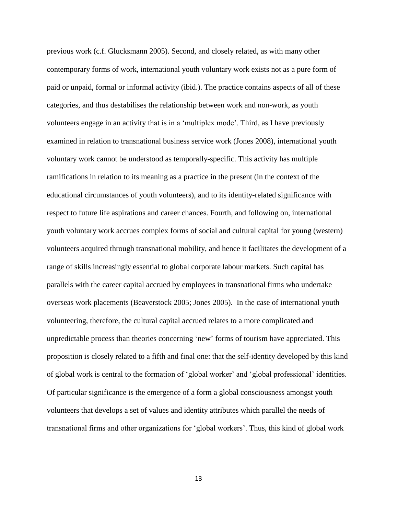previous work (c.f. Glucksmann 2005). Second, and closely related, as with many other contemporary forms of work, international youth voluntary work exists not as a pure form of paid or unpaid, formal or informal activity (ibid.). The practice contains aspects of all of these categories, and thus destabilises the relationship between work and non-work, as youth volunteers engage in an activity that is in a 'multiplex mode'. Third, as I have previously examined in relation to transnational business service work (Jones 2008), international youth voluntary work cannot be understood as temporally-specific. This activity has multiple ramifications in relation to its meaning as a practice in the present (in the context of the educational circumstances of youth volunteers), and to its identity-related significance with respect to future life aspirations and career chances. Fourth, and following on, international youth voluntary work accrues complex forms of social and cultural capital for young (western) volunteers acquired through transnational mobility, and hence it facilitates the development of a range of skills increasingly essential to global corporate labour markets. Such capital has parallels with the career capital accrued by employees in transnational firms who undertake overseas work placements (Beaverstock 2005; Jones 2005). In the case of international youth volunteering, therefore, the cultural capital accrued relates to a more complicated and unpredictable process than theories concerning 'new' forms of tourism have appreciated. This proposition is closely related to a fifth and final one: that the self-identity developed by this kind of global work is central to the formation of 'global worker' and 'global professional' identities. Of particular significance is the emergence of a form a global consciousness amongst youth volunteers that develops a set of values and identity attributes which parallel the needs of transnational firms and other organizations for 'global workers'. Thus, this kind of global work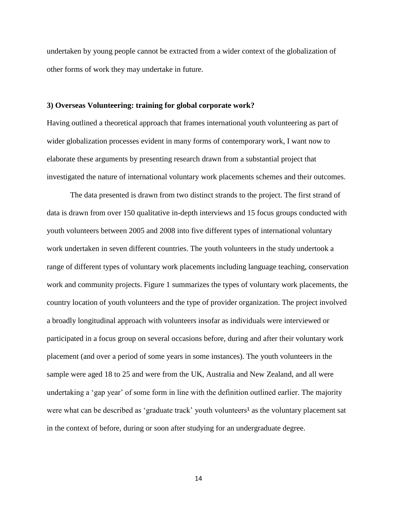undertaken by young people cannot be extracted from a wider context of the globalization of other forms of work they may undertake in future.

#### **3) Overseas Volunteering: training for global corporate work?**

Having outlined a theoretical approach that frames international youth volunteering as part of wider globalization processes evident in many forms of contemporary work, I want now to elaborate these arguments by presenting research drawn from a substantial project that investigated the nature of international voluntary work placements schemes and their outcomes.

The data presented is drawn from two distinct strands to the project. The first strand of data is drawn from over 150 qualitative in-depth interviews and 15 focus groups conducted with youth volunteers between 2005 and 2008 into five different types of international voluntary work undertaken in seven different countries. The youth volunteers in the study undertook a range of different types of voluntary work placements including language teaching, conservation work and community projects. Figure 1 summarizes the types of voluntary work placements, the country location of youth volunteers and the type of provider organization. The project involved a broadly longitudinal approach with volunteers insofar as individuals were interviewed or participated in a focus group on several occasions before, during and after their voluntary work placement (and over a period of some years in some instances). The youth volunteers in the sample were aged 18 to 25 and were from the UK, Australia and New Zealand, and all were undertaking a 'gap year' of some form in line with the definition outlined earlier. The majority were what can be described as 'graduate track' youth volunteers<sup>1</sup> as the voluntary placement sat in the context of before, during or soon after studying for an undergraduate degree.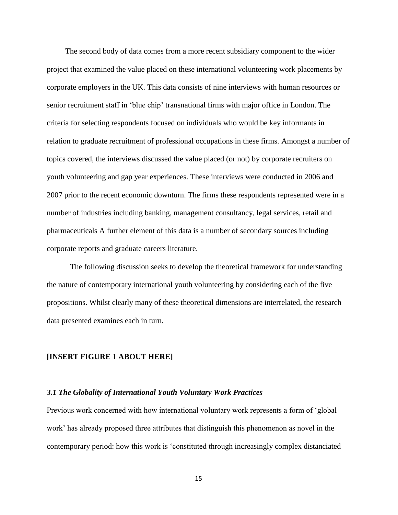The second body of data comes from a more recent subsidiary component to the wider project that examined the value placed on these international volunteering work placements by corporate employers in the UK. This data consists of nine interviews with human resources or senior recruitment staff in 'blue chip' transnational firms with major office in London. The criteria for selecting respondents focused on individuals who would be key informants in relation to graduate recruitment of professional occupations in these firms. Amongst a number of topics covered, the interviews discussed the value placed (or not) by corporate recruiters on youth volunteering and gap year experiences. These interviews were conducted in 2006 and 2007 prior to the recent economic downturn. The firms these respondents represented were in a number of industries including banking, management consultancy, legal services, retail and pharmaceuticals A further element of this data is a number of secondary sources including corporate reports and graduate careers literature.

The following discussion seeks to develop the theoretical framework for understanding the nature of contemporary international youth volunteering by considering each of the five propositions. Whilst clearly many of these theoretical dimensions are interrelated, the research data presented examines each in turn.

#### **[INSERT FIGURE 1 ABOUT HERE]**

#### *3.1 The Globality of International Youth Voluntary Work Practices*

Previous work concerned with how international voluntary work represents a form of 'global work' has already proposed three attributes that distinguish this phenomenon as novel in the contemporary period: how this work is 'constituted through increasingly complex distanciated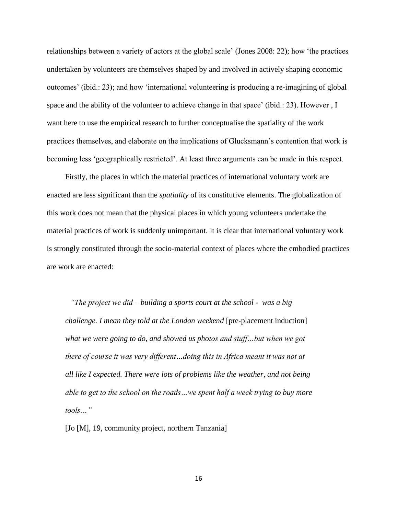relationships between a variety of actors at the global scale' (Jones 2008: 22); how 'the practices undertaken by volunteers are themselves shaped by and involved in actively shaping economic outcomes' (ibid.: 23); and how 'international volunteering is producing a re-imagining of global space and the ability of the volunteer to achieve change in that space' (ibid.: 23). However , I want here to use the empirical research to further conceptualise the spatiality of the work practices themselves, and elaborate on the implications of Glucksmann's contention that work is becoming less 'geographically restricted'. At least three arguments can be made in this respect.

Firstly, the places in which the material practices of international voluntary work are enacted are less significant than the *spatiality* of its constitutive elements. The globalization of this work does not mean that the physical places in which young volunteers undertake the material practices of work is suddenly unimportant. It is clear that international voluntary work is strongly constituted through the socio-material context of places where the embodied practices are work are enacted:

*"The project we did – building a sports court at the school - was a big challenge. I mean they told at the London weekend* [pre-placement induction] *what we were going to do, and showed us photos and stuff…but when we got there of course it was very different…doing this in Africa meant it was not at all like I expected. There were lots of problems like the weather, and not being able to get to the school on the roads…we spent half a week trying to buy more tools…"*

[Jo [M], 19, community project, northern Tanzania]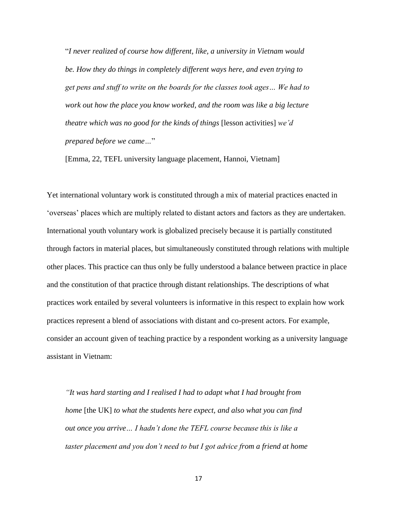"*I never realized of course how different, like, a university in Vietnam would be. How they do things in completely different ways here, and even trying to get pens and stuff to write on the boards for the classes took ages… We had to work out how the place you know worked, and the room was like a big lecture theatre which was no good for the kinds of things* [lesson activities] *we'd prepared before we came…*"

[Emma, 22, TEFL university language placement, Hannoi, Vietnam]

Yet international voluntary work is constituted through a mix of material practices enacted in 'overseas' places which are multiply related to distant actors and factors as they are undertaken. International youth voluntary work is globalized precisely because it is partially constituted through factors in material places, but simultaneously constituted through relations with multiple other places. This practice can thus only be fully understood a balance between practice in place and the constitution of that practice through distant relationships. The descriptions of what practices work entailed by several volunteers is informative in this respect to explain how work practices represent a blend of associations with distant and co-present actors. For example, consider an account given of teaching practice by a respondent working as a university language assistant in Vietnam:

*"It was hard starting and I realised I had to adapt what I had brought from home* [the UK] *to what the students here expect, and also what you can find out once you arrive… I hadn't done the TEFL course because this is like a taster placement and you don't need to but I got advice from a friend at home*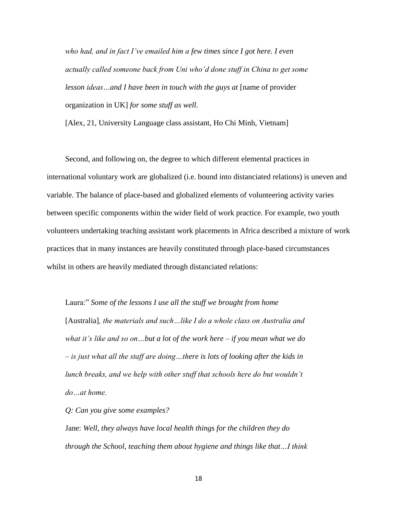*who had, and in fact I've emailed him a few times since I got here. I even actually called someone back from Uni who'd done stuff in China to get some lesson ideas* ... and I have been in touch with the guys at [name of provider organization in UK] *for some stuff as well.*

[Alex, 21, University Language class assistant, Ho Chi Minh, Vietnam]

Second, and following on, the degree to which different elemental practices in international voluntary work are globalized (i.e. bound into distanciated relations) is uneven and variable. The balance of place-based and globalized elements of volunteering activity varies between specific components within the wider field of work practice. For example, two youth volunteers undertaking teaching assistant work placements in Africa described a mixture of work practices that in many instances are heavily constituted through place-based circumstances whilst in others are heavily mediated through distanciated relations:

Laura:" *Some of the lessons I use all the stuff we brought from home*  [Australia]*, the materials and such…like I do a whole class on Australia and what it's like and so on…but a lot of the work here – if you mean what we do – is just what all the staff are doing…there is lots of looking after the kids in lunch breaks, and we help with other stuff that schools here do but wouldn't do…at home.*

*Q: Can you give some examples?*

Jane: *Well, they always have local health things for the children they do through the School, teaching them about hygiene and things like that…I think*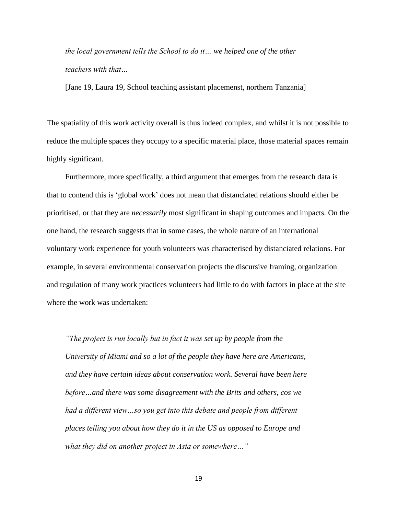*the local government tells the School to do it… we helped one of the other teachers with that…*

[Jane 19, Laura 19, School teaching assistant placemenst, northern Tanzania]

The spatiality of this work activity overall is thus indeed complex, and whilst it is not possible to reduce the multiple spaces they occupy to a specific material place, those material spaces remain highly significant.

Furthermore, more specifically, a third argument that emerges from the research data is that to contend this is 'global work' does not mean that distanciated relations should either be prioritised, or that they are *necessarily* most significant in shaping outcomes and impacts. On the one hand, the research suggests that in some cases, the whole nature of an international voluntary work experience for youth volunteers was characterised by distanciated relations. For example, in several environmental conservation projects the discursive framing, organization and regulation of many work practices volunteers had little to do with factors in place at the site where the work was undertaken:

*"The project is run locally but in fact it was set up by people from the University of Miami and so a lot of the people they have here are Americans, and they have certain ideas about conservation work. Several have been here before…and there was some disagreement with the Brits and others, cos we had a different view…so you get into this debate and people from different places telling you about how they do it in the US as opposed to Europe and what they did on another project in Asia or somewhere…"*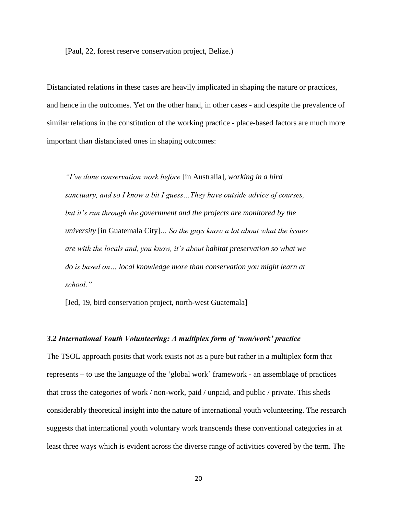[Paul, 22, forest reserve conservation project, Belize.)

Distanciated relations in these cases are heavily implicated in shaping the nature or practices, and hence in the outcomes. Yet on the other hand, in other cases - and despite the prevalence of similar relations in the constitution of the working practice - place-based factors are much more important than distanciated ones in shaping outcomes:

*"I've done conservation work before* [in Australia]*, working in a bird sanctuary, and so I know a bit I guess…They have outside advice of courses, but it's run through the government and the projects are monitored by the university* [in Guatemala City]*… So the guys know a lot about what the issues are with the locals and, you know, it's about habitat preservation so what we do is based on… local knowledge more than conservation you might learn at school."*

[Jed, 19, bird conservation project, north-west Guatemala]

#### *3.2 International Youth Volunteering: A multiplex form of 'non/work' practice*

The TSOL approach posits that work exists not as a pure but rather in a multiplex form that represents – to use the language of the 'global work' framework - an assemblage of practices that cross the categories of work / non-work, paid / unpaid, and public / private. This sheds considerably theoretical insight into the nature of international youth volunteering. The research suggests that international youth voluntary work transcends these conventional categories in at least three ways which is evident across the diverse range of activities covered by the term. The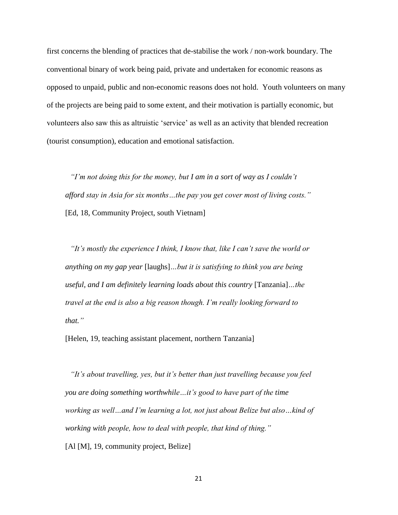first concerns the blending of practices that de-stabilise the work / non-work boundary. The conventional binary of work being paid, private and undertaken for economic reasons as opposed to unpaid, public and non-economic reasons does not hold. Youth volunteers on many of the projects are being paid to some extent, and their motivation is partially economic, but volunteers also saw this as altruistic 'service' as well as an activity that blended recreation (tourist consumption), education and emotional satisfaction.

*"I'm not doing this for the money, but I am in a sort of way as I couldn't afford stay in Asia for six months…the pay you get cover most of living costs."* [Ed, 18, Community Project, south Vietnam]

*"It's mostly the experience I think, I know that, like I can't save the world or anything on my gap year* [laughs]*…but it is satisfying to think you are being useful, and I am definitely learning loads about this country* [Tanzania]*…the travel at the end is also a big reason though. I'm really looking forward to that."*

[Helen, 19, teaching assistant placement, northern Tanzania]

*"It's about travelling, yes, but it's better than just travelling because you feel you are doing something worthwhile…it's good to have part of the time working as well…and I'm learning a lot, not just about Belize but also…kind of working with people, how to deal with people, that kind of thing."* [Al [M], 19, community project, Belize]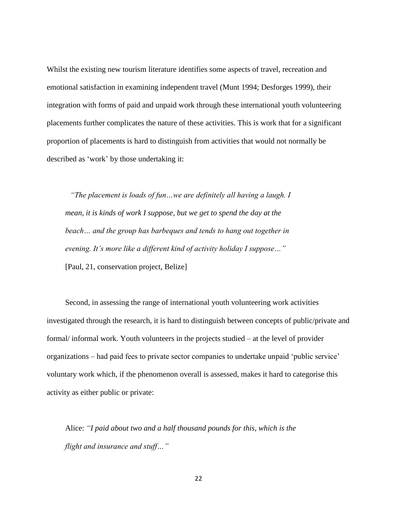Whilst the existing new tourism literature identifies some aspects of travel, recreation and emotional satisfaction in examining independent travel (Munt 1994; Desforges 1999), their integration with forms of paid and unpaid work through these international youth volunteering placements further complicates the nature of these activities. This is work that for a significant proportion of placements is hard to distinguish from activities that would not normally be described as 'work' by those undertaking it:

*"The placement is loads of fun…we are definitely all having a laugh. I mean, it is kinds of work I suppose, but we get to spend the day at the beach… and the group has barbeques and tends to hang out together in evening. It's more like a different kind of activity holiday I suppose…"* [Paul, 21, conservation project, Belize]

Second, in assessing the range of international youth volunteering work activities investigated through the research, it is hard to distinguish between concepts of public/private and formal/ informal work. Youth volunteers in the projects studied – at the level of provider organizations – had paid fees to private sector companies to undertake unpaid 'public service' voluntary work which, if the phenomenon overall is assessed, makes it hard to categorise this activity as either public or private:

Alice: *"I paid about two and a half thousand pounds for this, which is the flight and insurance and stuff…"*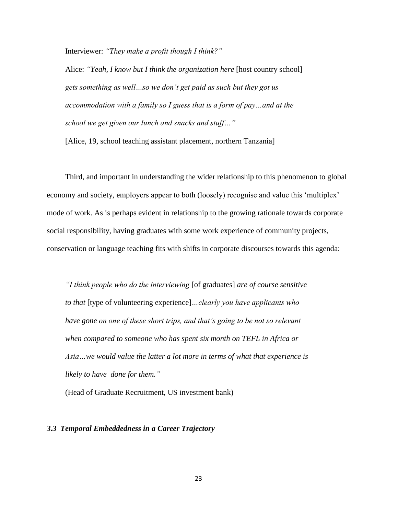Interviewer: *"They make a profit though I think?"*

Alice: *"Yeah, I know but I think the organization here* [host country school] *gets something as well…so we don't get paid as such but they got us accommodation with a family so I guess that is a form of pay…and at the school we get given our lunch and snacks and stuff…"*

[Alice, 19, school teaching assistant placement, northern Tanzania]

Third, and important in understanding the wider relationship to this phenomenon to global economy and society, employers appear to both (loosely) recognise and value this 'multiplex' mode of work. As is perhaps evident in relationship to the growing rationale towards corporate social responsibility, having graduates with some work experience of community projects, conservation or language teaching fits with shifts in corporate discourses towards this agenda:

*"I think people who do the interviewing* [of graduates] *are of course sensitive to that* [type of volunteering experience]*…clearly you have applicants who have gone on one of these short trips, and that's going to be not so relevant when compared to someone who has spent six month on TEFL in Africa or Asia…we would value the latter a lot more in terms of what that experience is likely to have done for them."*

(Head of Graduate Recruitment, US investment bank)

#### *3.3 Temporal Embeddedness in a Career Trajectory*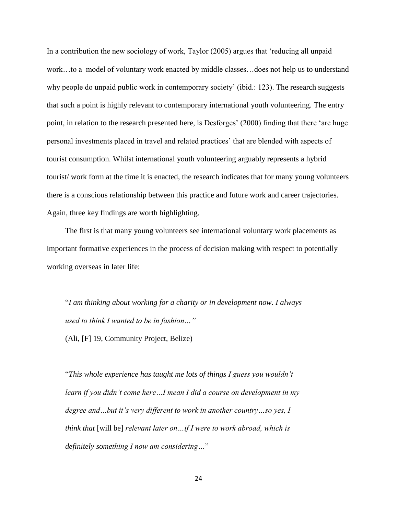In a contribution the new sociology of work, Taylor (2005) argues that 'reducing all unpaid work…to a model of voluntary work enacted by middle classes…does not help us to understand why people do unpaid public work in contemporary society' (ibid.: 123). The research suggests that such a point is highly relevant to contemporary international youth volunteering. The entry point, in relation to the research presented here, is Desforges' (2000) finding that there 'are huge personal investments placed in travel and related practices' that are blended with aspects of tourist consumption. Whilst international youth volunteering arguably represents a hybrid tourist/ work form at the time it is enacted, the research indicates that for many young volunteers there is a conscious relationship between this practice and future work and career trajectories. Again, three key findings are worth highlighting.

The first is that many young volunteers see international voluntary work placements as important formative experiences in the process of decision making with respect to potentially working overseas in later life:

"*I am thinking about working for a charity or in development now. I always used to think I wanted to be in fashion…"* (Ali, [F] 19, Community Project, Belize)

"*This whole experience has taught me lots of things I guess you wouldn't learn if you didn't come here…I mean I did a course on development in my degree and…but it's very different to work in another country…so yes, I think that* [will be] *relevant later on…if I were to work abroad, which is definitely something I now am considering…*"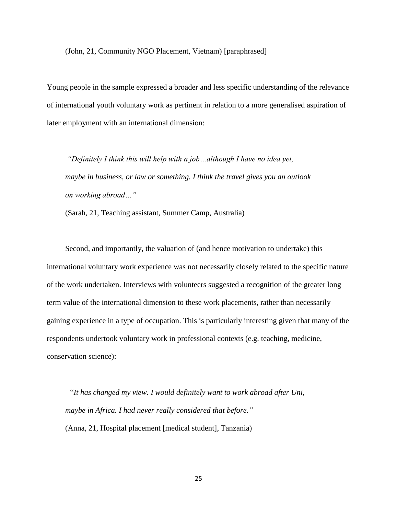(John, 21, Community NGO Placement, Vietnam) [paraphrased]

Young people in the sample expressed a broader and less specific understanding of the relevance of international youth voluntary work as pertinent in relation to a more generalised aspiration of later employment with an international dimension:

*"Definitely I think this will help with a job…although I have no idea yet, maybe in business, or law or something. I think the travel gives you an outlook on working abroad…"* 

(Sarah, 21, Teaching assistant, Summer Camp, Australia)

Second, and importantly, the valuation of (and hence motivation to undertake) this international voluntary work experience was not necessarily closely related to the specific nature of the work undertaken. Interviews with volunteers suggested a recognition of the greater long term value of the international dimension to these work placements, rather than necessarily gaining experience in a type of occupation. This is particularly interesting given that many of the respondents undertook voluntary work in professional contexts (e.g. teaching, medicine, conservation science):

"*It has changed my view. I would definitely want to work abroad after Uni, maybe in Africa. I had never really considered that before."* (Anna, 21, Hospital placement [medical student], Tanzania)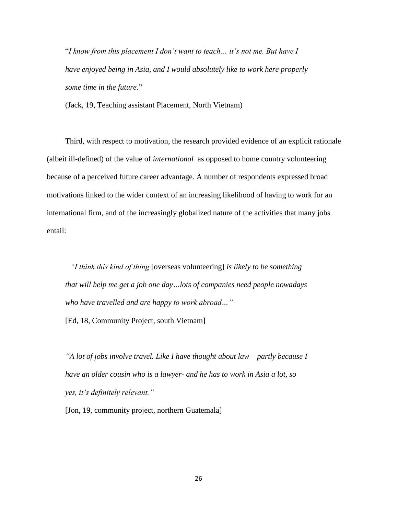"*I know from this placement I don't want to teach… it's not me. But have I have enjoyed being in Asia, and I would absolutely like to work here properly some time in the future*."

(Jack, 19, Teaching assistant Placement, North Vietnam)

Third, with respect to motivation, the research provided evidence of an explicit rationale (albeit ill-defined) of the value of *international* as opposed to home country volunteering because of a perceived future career advantage. A number of respondents expressed broad motivations linked to the wider context of an increasing likelihood of having to work for an international firm, and of the increasingly globalized nature of the activities that many jobs entail:

*"I think this kind of thing* [overseas volunteering] *is likely to be something that will help me get a job one day…lots of companies need people nowadays who have travelled and are happy to work abroad…"*

[Ed, 18, Community Project, south Vietnam]

*"A lot of jobs involve travel. Like I have thought about law – partly because I have an older cousin who is a lawyer- and he has to work in Asia a lot, so yes, it's definitely relevant."*

[Jon, 19, community project, northern Guatemala]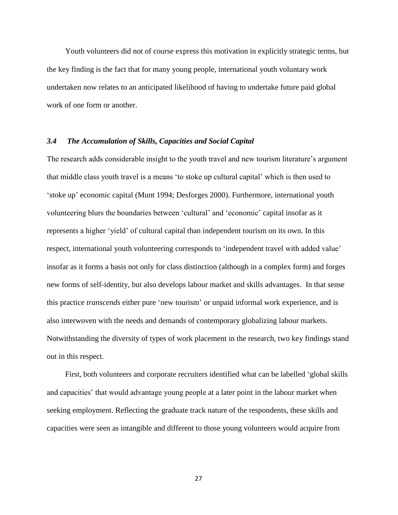Youth volunteers did not of course express this motivation in explicitly strategic terms, but the key finding is the fact that for many young people, international youth voluntary work undertaken now relates to an anticipated likelihood of having to undertake future paid global work of one form or another.

#### *3.4 The Accumulation of Skills, Capacities and Social Capital*

The research adds considerable insight to the youth travel and new tourism literature's argument that middle class youth travel is a means 'to stoke up cultural capital' which is then used to 'stoke up' economic capital (Munt 1994; Desforges 2000). Furthermore, international youth volunteering blurs the boundaries between 'cultural' and 'economic' capital insofar as it represents a higher 'yield' of cultural capital than independent tourism on its own. In this respect, international youth volunteering corresponds to 'independent travel with added value' insofar as it forms a basis not only for class distinction (although in a complex form) and forges new forms of self-identity, but also develops labour market and skills advantages. In that sense this practice *transcends* either pure 'new tourism' or unpaid informal work experience, and is also interwoven with the needs and demands of contemporary globalizing labour markets. Notwithstanding the diversity of types of work placement in the research, two key findings stand out in this respect.

First, both volunteers and corporate recruiters identified what can be labelled 'global skills and capacities' that would advantage young people at a later point in the labour market when seeking employment. Reflecting the graduate track nature of the respondents, these skills and capacities were seen as intangible and different to those young volunteers would acquire from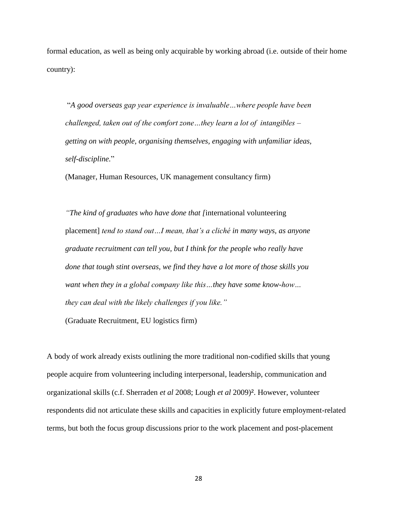formal education, as well as being only acquirable by working abroad (i.e. outside of their home country):

"*A good overseas gap year experience is invaluable…where people have been challenged, taken out of the comfort zone…they learn a lot of intangibles – getting on with people, organising themselves, engaging with unfamiliar ideas, self-discipline.*"

(Manager, Human Resources, UK management consultancy firm)

*"The kind of graduates who have done that [*international volunteering placement] *tend to stand out…I mean, that's a cliché in many ways, as anyone graduate recruitment can tell you, but I think for the people who really have done that tough stint overseas, we find they have a lot more of those skills you want when they in a global company like this…they have some know-how… they can deal with the likely challenges if you like."*

(Graduate Recruitment, EU logistics firm)

A body of work already exists outlining the more traditional non-codified skills that young people acquire from volunteering including interpersonal, leadership, communication and organizational skills (c.f. Sherraden *et al* 2008; Lough *et al* 2009)². However, volunteer respondents did not articulate these skills and capacities in explicitly future employment-related terms, but both the focus group discussions prior to the work placement and post-placement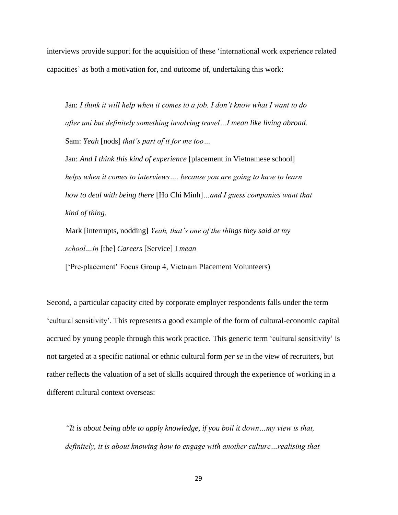interviews provide support for the acquisition of these 'international work experience related capacities' as both a motivation for, and outcome of, undertaking this work:

Jan: *I think it will help when it comes to a job. I don't know what I want to do after uni but definitely something involving travel…I mean like living abroad.* Sam: *Yeah* [nods] *that's part of it for me too…*

Jan: *And I think this kind of experience* [placement in Vietnamese school] *helps when it comes to interviews…. because you are going to have to learn how to deal with being there* [Ho Chi Minh]*…and I guess companies want that kind of thing.*

Mark [interrupts, nodding] *Yeah, that's one of the things they said at my school…in* [the] *Careers* [Service] I *mean*

['Pre-placement' Focus Group 4, Vietnam Placement Volunteers)

Second, a particular capacity cited by corporate employer respondents falls under the term 'cultural sensitivity'. This represents a good example of the form of cultural-economic capital accrued by young people through this work practice. This generic term 'cultural sensitivity' is not targeted at a specific national or ethnic cultural form *per se* in the view of recruiters, but rather reflects the valuation of a set of skills acquired through the experience of working in a different cultural context overseas:

*"It is about being able to apply knowledge, if you boil it down…my view is that, definitely, it is about knowing how to engage with another culture…realising that*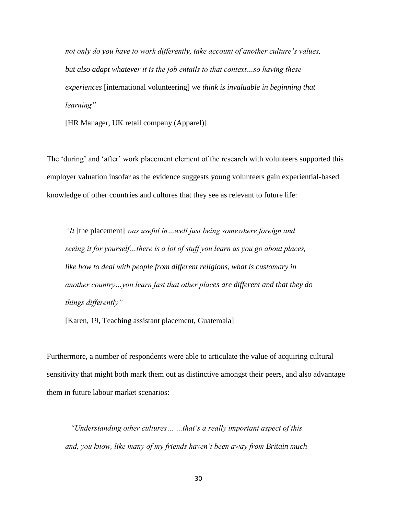*not only do you have to work differently, take account of another culture's values, but also adapt whatever it is the job entails to that context…so having these experiences* [international volunteering] *we think is invaluable in beginning that learning"*

[HR Manager, UK retail company (Apparel)]

The 'during' and 'after' work placement element of the research with volunteers supported this employer valuation insofar as the evidence suggests young volunteers gain experiential-based knowledge of other countries and cultures that they see as relevant to future life:

*"It* [the placement] *was useful in…well just being somewhere foreign and seeing it for yourself…there is a lot of stuff you learn as you go about places, like how to deal with people from different religions, what is customary in another country…you learn fast that other places are different and that they do things differently"*

[Karen, 19, Teaching assistant placement, Guatemala]

Furthermore, a number of respondents were able to articulate the value of acquiring cultural sensitivity that might both mark them out as distinctive amongst their peers, and also advantage them in future labour market scenarios:

*"Understanding other cultures… …that's a really important aspect of this and, you know, like many of my friends haven't been away from Britain much*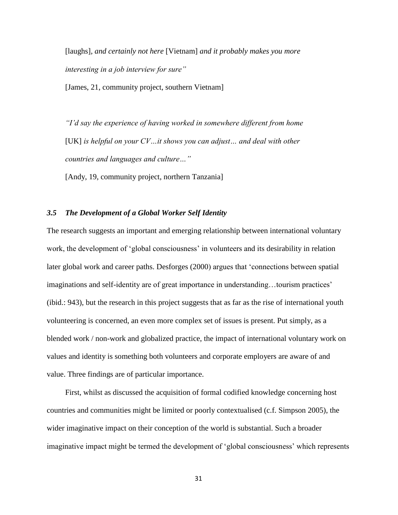[laughs]*, and certainly not here* [Vietnam] *and it probably makes you more interesting in a job interview for sure"* 

[James, 21, community project, southern Vietnam]

*"I'd say the experience of having worked in somewhere different from home*  [UK] *is helpful on your CV…it shows you can adjust… and deal with other countries and languages and culture…"*

[Andy, 19, community project, northern Tanzania]

#### *3.5 The Development of a Global Worker Self Identity*

The research suggests an important and emerging relationship between international voluntary work, the development of 'global consciousness' in volunteers and its desirability in relation later global work and career paths. Desforges (2000) argues that 'connections between spatial imaginations and self-identity are of great importance in understanding…tourism practices' (ibid.: 943), but the research in this project suggests that as far as the rise of international youth volunteering is concerned, an even more complex set of issues is present. Put simply, as a blended work / non-work and globalized practice, the impact of international voluntary work on values and identity is something both volunteers and corporate employers are aware of and value. Three findings are of particular importance.

First, whilst as discussed the acquisition of formal codified knowledge concerning host countries and communities might be limited or poorly contextualised (c.f. Simpson 2005), the wider imaginative impact on their conception of the world is substantial. Such a broader imaginative impact might be termed the development of 'global consciousness' which represents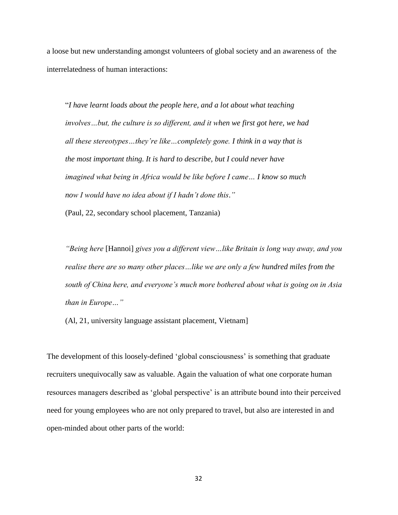a loose but new understanding amongst volunteers of global society and an awareness of the interrelatedness of human interactions:

"*I have learnt loads about the people here, and a lot about what teaching involves…but, the culture is so different, and it when we first got here, we had all these stereotypes…they're like…completely gone. I think in a way that is the most important thing. It is hard to describe, but I could never have imagined what being in Africa would be like before I came… I know so much now I would have no idea about if I hadn't done this*.*"*  (Paul, 22, secondary school placement, Tanzania)

*"Being here* [Hannoi] *gives you a different view…like Britain is long way away, and you realise there are so many other places…like we are only a few hundred miles from the south of China here, and everyone's much more bothered about what is going on in Asia than in Europe…"*

(Al, 21, university language assistant placement, Vietnam]

The development of this loosely-defined 'global consciousness' is something that graduate recruiters unequivocally saw as valuable. Again the valuation of what one corporate human resources managers described as 'global perspective' is an attribute bound into their perceived need for young employees who are not only prepared to travel, but also are interested in and open-minded about other parts of the world: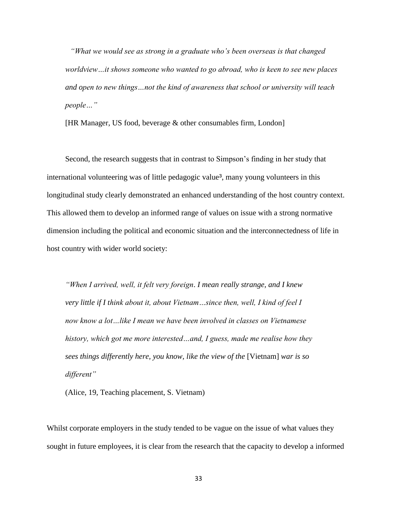*"What we would see as strong in a graduate who's been overseas is that changed worldview…it shows someone who wanted to go abroad, who is keen to see new places and open to new things…not the kind of awareness that school or university will teach people…"* 

[HR Manager, US food, beverage & other consumables firm, London]

Second, the research suggests that in contrast to Simpson's finding in her study that international volunteering was of little pedagogic value<sup>3</sup>, many young volunteers in this longitudinal study clearly demonstrated an enhanced understanding of the host country context. This allowed them to develop an informed range of values on issue with a strong normative dimension including the political and economic situation and the interconnectedness of life in host country with wider world society:

*"When I arrived, well, it felt very foreign*. *I mean really strange, and I knew very little if I think about it, about Vietnam…since then, well, I kind of feel I now know a lot…like I mean we have been involved in classes on Vietnamese history, which got me more interested…and, I guess, made me realise how they sees things differently here, you know, like the view of the* [Vietnam] *war is so different"*

(Alice, 19, Teaching placement, S. Vietnam)

Whilst corporate employers in the study tended to be vague on the issue of what values they sought in future employees, it is clear from the research that the capacity to develop a informed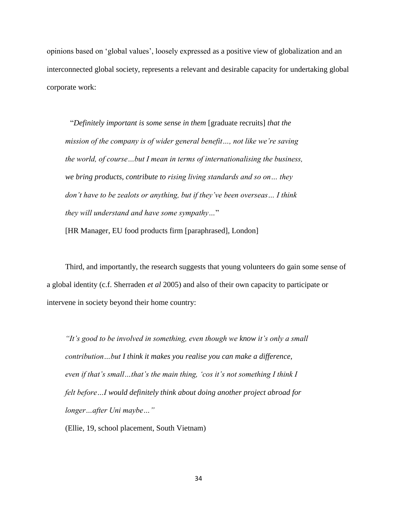opinions based on 'global values', loosely expressed as a positive view of globalization and an interconnected global society, represents a relevant and desirable capacity for undertaking global corporate work:

"*Definitely important is some sense in them* [graduate recruits] *that the mission of the company is of wider general benefit…, not like we're saving the world, of course…but I mean in terms of internationalising the business, we bring products, contribute to rising living standards and so on… they don't have to be zealots or anything, but if they've been overseas… I think they will understand and have some sympathy…*"

[HR Manager, EU food products firm [paraphrased], London]

Third, and importantly, the research suggests that young volunteers do gain some sense of a global identity (c.f. Sherraden *et al* 2005) and also of their own capacity to participate or intervene in society beyond their home country:

*"It's good to be involved in something, even though we know it's only a small contribution…but I think it makes you realise you can make a difference, even if that's small…that's the main thing, 'cos it's not something I think I felt before…I would definitely think about doing another project abroad for longer…after Uni maybe…"*

(Ellie, 19, school placement, South Vietnam)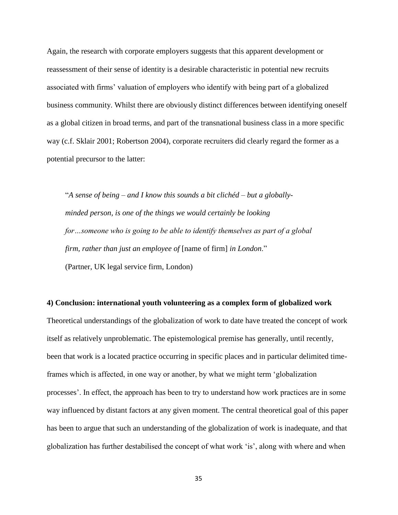Again, the research with corporate employers suggests that this apparent development or reassessment of their sense of identity is a desirable characteristic in potential new recruits associated with firms' valuation of employers who identify with being part of a globalized business community. Whilst there are obviously distinct differences between identifying oneself as a global citizen in broad terms, and part of the transnational business class in a more specific way (c.f. Sklair 2001; Robertson 2004), corporate recruiters did clearly regard the former as a potential precursor to the latter:

"*A sense of being – and I know this sounds a bit clichéd – but a globallyminded person, is one of the things we would certainly be looking for…someone who is going to be able to identify themselves as part of a global firm, rather than just an employee of* [name of firm] *in London*." (Partner, UK legal service firm, London)

#### **4) Conclusion: international youth volunteering as a complex form of globalized work**

Theoretical understandings of the globalization of work to date have treated the concept of work itself as relatively unproblematic. The epistemological premise has generally, until recently, been that work is a located practice occurring in specific places and in particular delimited timeframes which is affected, in one way or another, by what we might term 'globalization processes'. In effect, the approach has been to try to understand how work practices are in some way influenced by distant factors at any given moment. The central theoretical goal of this paper has been to argue that such an understanding of the globalization of work is inadequate, and that globalization has further destabilised the concept of what work 'is', along with where and when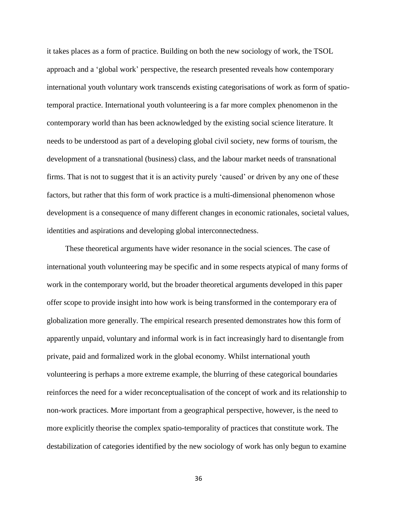it takes places as a form of practice. Building on both the new sociology of work, the TSOL approach and a 'global work' perspective, the research presented reveals how contemporary international youth voluntary work transcends existing categorisations of work as form of spatiotemporal practice. International youth volunteering is a far more complex phenomenon in the contemporary world than has been acknowledged by the existing social science literature. It needs to be understood as part of a developing global civil society, new forms of tourism, the development of a transnational (business) class, and the labour market needs of transnational firms. That is not to suggest that it is an activity purely 'caused' or driven by any one of these factors, but rather that this form of work practice is a multi-dimensional phenomenon whose development is a consequence of many different changes in economic rationales, societal values, identities and aspirations and developing global interconnectedness.

These theoretical arguments have wider resonance in the social sciences. The case of international youth volunteering may be specific and in some respects atypical of many forms of work in the contemporary world, but the broader theoretical arguments developed in this paper offer scope to provide insight into how work is being transformed in the contemporary era of globalization more generally. The empirical research presented demonstrates how this form of apparently unpaid, voluntary and informal work is in fact increasingly hard to disentangle from private, paid and formalized work in the global economy. Whilst international youth volunteering is perhaps a more extreme example, the blurring of these categorical boundaries reinforces the need for a wider reconceptualisation of the concept of work and its relationship to non-work practices. More important from a geographical perspective, however, is the need to more explicitly theorise the complex spatio-temporality of practices that constitute work. The destabilization of categories identified by the new sociology of work has only begun to examine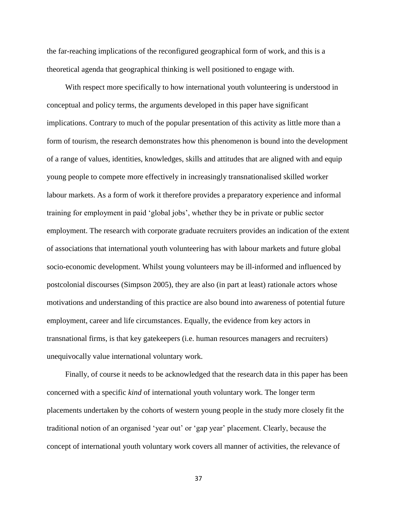the far-reaching implications of the reconfigured geographical form of work, and this is a theoretical agenda that geographical thinking is well positioned to engage with.

With respect more specifically to how international youth volunteering is understood in conceptual and policy terms, the arguments developed in this paper have significant implications. Contrary to much of the popular presentation of this activity as little more than a form of tourism, the research demonstrates how this phenomenon is bound into the development of a range of values, identities, knowledges, skills and attitudes that are aligned with and equip young people to compete more effectively in increasingly transnationalised skilled worker labour markets. As a form of work it therefore provides a preparatory experience and informal training for employment in paid 'global jobs', whether they be in private or public sector employment. The research with corporate graduate recruiters provides an indication of the extent of associations that international youth volunteering has with labour markets and future global socio-economic development. Whilst young volunteers may be ill-informed and influenced by postcolonial discourses (Simpson 2005), they are also (in part at least) rationale actors whose motivations and understanding of this practice are also bound into awareness of potential future employment, career and life circumstances. Equally, the evidence from key actors in transnational firms, is that key gatekeepers (i.e. human resources managers and recruiters) unequivocally value international voluntary work.

Finally, of course it needs to be acknowledged that the research data in this paper has been concerned with a specific *kind* of international youth voluntary work. The longer term placements undertaken by the cohorts of western young people in the study more closely fit the traditional notion of an organised 'year out' or 'gap year' placement. Clearly, because the concept of international youth voluntary work covers all manner of activities, the relevance of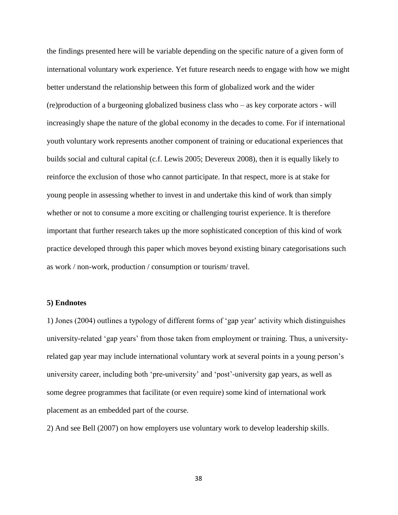the findings presented here will be variable depending on the specific nature of a given form of international voluntary work experience. Yet future research needs to engage with how we might better understand the relationship between this form of globalized work and the wider (re)production of a burgeoning globalized business class who – as key corporate actors - will increasingly shape the nature of the global economy in the decades to come. For if international youth voluntary work represents another component of training or educational experiences that builds social and cultural capital (c.f. Lewis 2005; Devereux 2008), then it is equally likely to reinforce the exclusion of those who cannot participate. In that respect, more is at stake for young people in assessing whether to invest in and undertake this kind of work than simply whether or not to consume a more exciting or challenging tourist experience. It is therefore important that further research takes up the more sophisticated conception of this kind of work practice developed through this paper which moves beyond existing binary categorisations such as work / non-work, production / consumption or tourism/ travel.

#### **5) Endnotes**

1) Jones (2004) outlines a typology of different forms of 'gap year' activity which distinguishes university-related 'gap years' from those taken from employment or training. Thus, a universityrelated gap year may include international voluntary work at several points in a young person's university career, including both 'pre-university' and 'post'-university gap years, as well as some degree programmes that facilitate (or even require) some kind of international work placement as an embedded part of the course.

2) And see Bell (2007) on how employers use voluntary work to develop leadership skills.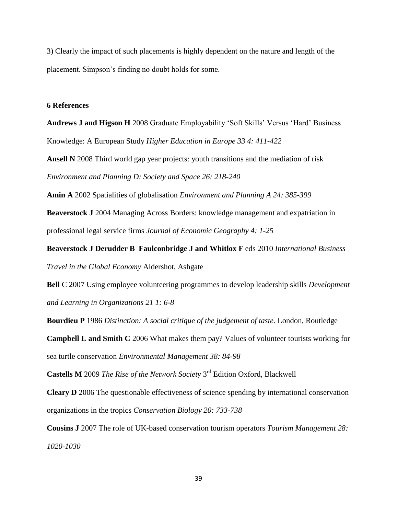3) Clearly the impact of such placements is highly dependent on the nature and length of the placement. Simpson's finding no doubt holds for some.

#### **6 References**

**Andrews J and Higson H** 2008 Graduate Employability 'Soft Skills' Versus 'Hard' Business Knowledge: A European Study *Higher Education in Europe 33 4: 411-422*

**Ansell N** 2008 Third world gap year projects: youth transitions and the mediation of risk *Environment and Planning D: Society and Space 26: 218-240*

**Amin A** 2002 Spatialities of globalisation *Environment and Planning A 24: 385-399*

**Beaverstock J** 2004 Managing Across Borders: knowledge management and expatriation in professional legal service firms *Journal of Economic Geography 4: 1-25*

**Beaverstock J Derudder B Faulconbridge J and Whitlox F** eds 2010 *International Business Travel in the Global Economy* Aldershot, Ashgate

**Bell** C 2007 Using employee volunteering programmes to develop leadership skills *Development and Learning in Organizations 21 1: 6-8*

**Bourdieu P** 1986 *Distinction: A social critique of the judgement of taste.* London, Routledge

**Campbell L and Smith C** 2006 What makes them pay? Values of volunteer tourists working for sea turtle conservation *Environmental Management 38: 84-98*

Castells M 2009 *The Rise of the Network Society* 3<sup>rd</sup> Edition Oxford, Blackwell

**Cleary D** 2006 The questionable effectiveness of science spending by international conservation organizations in the tropics *Conservation Biology 20: 733-738*

**Cousins J** 2007 The role of UK-based conservation tourism operators *Tourism Management 28: 1020-1030*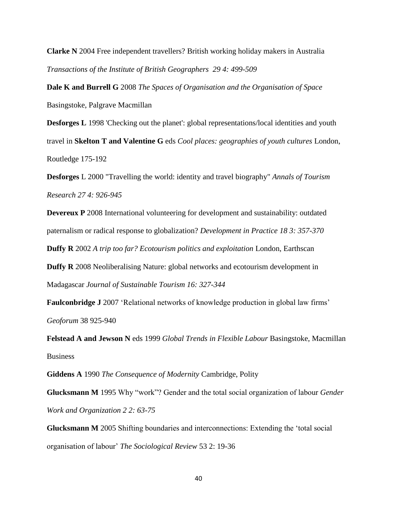**Clarke N** 2004 Free independent travellers? British working holiday makers in Australia *Transactions of the Institute of British Geographers 29 4: 499-509*

**Dale K and Burrell G** 2008 *The Spaces of Organisation and the Organisation of Space*  Basingstoke, Palgrave Macmillan

**Desforges L** 1998 'Checking out the planet': global representations/local identities and youth travel in **Skelton T and Valentine G** eds *Cool places: geographies of youth cultures* London, Routledge 175-192

**Desforges** L 2000 "Travelling the world: identity and travel biography" *Annals of Tourism Research 27 4: 926-945*

**Devereux P** 2008 International volunteering for development and sustainability: outdated paternalism or radical response to globalization? *Development in Practice 18 3: 357-370*

**Duffy R** 2002 *A trip too far? Ecotourism politics and exploitation* London, Earthscan

**Duffy R** 2008 Neoliberalising Nature: global networks and ecotourism development in Madagascar *Journal of Sustainable Tourism 16: 327-344*

**Faulconbridge J** 2007 'Relational networks of knowledge production in global law firms' *Geoforum* 38 925-940

**Felstead A and Jewson N** eds 1999 *Global Trends in Flexible Labour* Basingstoke, Macmillan Business

**Giddens A** 1990 *The Consequence of Modernity* Cambridge, Polity

**Glucksmann M** 1995 Why "work"? Gender and the total social organization of labour *Gender Work and Organization 2 2: 63-75*

**Glucksmann M** 2005 Shifting boundaries and interconnections: Extending the 'total social organisation of labour' *The Sociological Review* 53 2: 19-36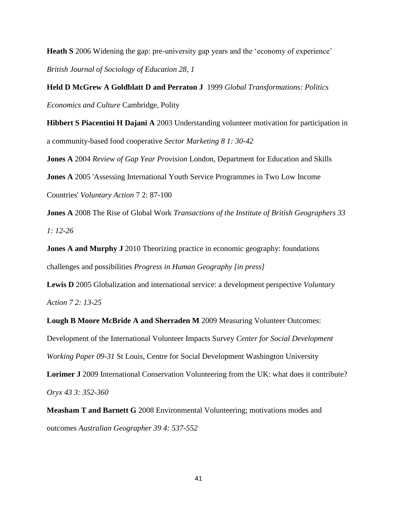**Heath S** 2006 Widening the gap: pre-university gap years and the 'economy of experience' *British Journal of Sociology of Education 28, 1*

**Held D McGrew A Goldblatt D and Perraton J** 1999 *Global Transformations: Politics Economics and Culture* Cambridge, Polity

**Hibbert S Piacentini H Dajani A** 2003 Understanding volunteer motivation for participation in a community-based food cooperative *Sector Marketing 8 1: 30-42*

**Jones A** 2004 *Review of Gap Year Provision* London, Department for Education and Skills

**Jones A** 2005 'Assessing International Youth Service Programmes in Two Low Income

Countries' *Voluntary Action* 7 2: 87-100

**Jones A** 2008 The Rise of Global Work *Transactions of the Institute of British Geographers 33 1: 12-26*

**Jones A and Murphy J** 2010 Theorizing practice in economic geography: foundations challenges and possibilities *Progress in Human Geography [in press]*

**Lewis D** 2005 Globalization and international service: a development perspective *Voluntary Action 7 2: 13-25*

**Lough B Moore McBride A and Sherraden M** 2009 Measuring Volunteer Outcomes: Development of the International Volunteer Impacts Survey *Center for Social Development Working Paper 09-31* St Louis, Centre for Social Development Washington University

Lorimer J 2009 International Conservation Volunteering from the UK: what does it contribute? *Oryx 43 3: 352-360*

**Measham T and Barnett G** 2008 Environmental Volunteering; motivations modes and outcomes *Australian Geographer 39 4: 537-552*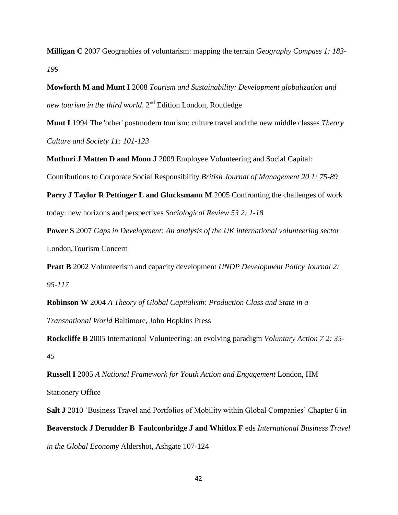**Milligan C** 2007 Geographies of voluntarism: mapping the terrain *Geography Compass 1: 183- 199*

**Mowforth M and Munt I** 2008 *Tourism and Sustainability: Development globalization and new tourism in the third world*. 2<sup>nd</sup> Edition London, Routledge

**Munt I** 1994 The 'other' postmodern tourism: culture travel and the new middle classes *Theory Culture and Society 11: 101-123*

**Muthuri J Matten D and Moon J** 2009 Employee Volunteering and Social Capital:

Contributions to Corporate Social Responsibility *British Journal of Management 20 1: 75-89*

**Parry J Taylor R Pettinger L and Glucksmann M** 2005 Confronting the challenges of work today: new horizons and perspectives *Sociological Review 53 2: 1-18*

**Power S** 2007 *Gaps in Development: An analysis of the UK international volunteering sector* London,Tourism Concern

**Pratt B** 2002 Volunteerism and capacity development *UNDP Development Policy Journal 2: 95-117*

**Robinson W** 2004 *A Theory of Global Capitalism: Production Class and State in a Transnational World* Baltimore, John Hopkins Press

**Rockcliffe B** 2005 International Volunteering: an evolving paradigm *Voluntary Action 7 2: 35- 45*

**Russell I** 2005 *A National Framework for Youth Action and Engagement* London, HM Stationery Office

**Salt J** 2010 'Business Travel and Portfolios of Mobility within Global Companies' Chapter 6 in **Beaverstock J Derudder B Faulconbridge J and Whitlox F** eds *International Business Travel in the Global Economy* Aldershot, Ashgate 107-124